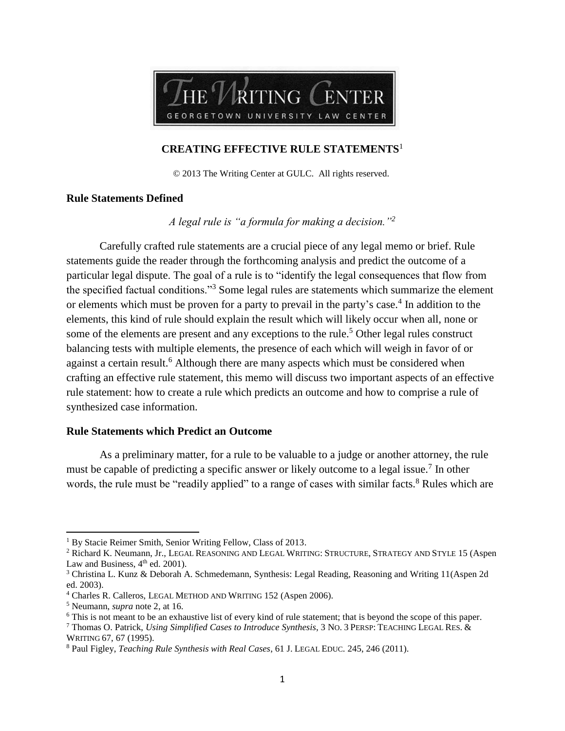

## **CREATING EFFECTIVE RULE STATEMENTS**<sup>1</sup>

© 2013 The Writing Center at GULC. All rights reserved.

### **Rule Statements Defined**

*A legal rule is "a formula for making a decision."<sup>2</sup>*

Carefully crafted rule statements are a crucial piece of any legal memo or brief. Rule statements guide the reader through the forthcoming analysis and predict the outcome of a particular legal dispute. The goal of a rule is to "identify the legal consequences that flow from the specified factual conditions."<sup>3</sup> Some legal rules are statements which summarize the element or elements which must be proven for a party to prevail in the party's case.<sup>4</sup> In addition to the elements, this kind of rule should explain the result which will likely occur when all, none or some of the elements are present and any exceptions to the rule.<sup>5</sup> Other legal rules construct balancing tests with multiple elements, the presence of each which will weigh in favor of or against a certain result.<sup>6</sup> Although there are many aspects which must be considered when crafting an effective rule statement, this memo will discuss two important aspects of an effective rule statement: how to create a rule which predicts an outcome and how to comprise a rule of synthesized case information.

#### **Rule Statements which Predict an Outcome**

As a preliminary matter, for a rule to be valuable to a judge or another attorney, the rule must be capable of predicting a specific answer or likely outcome to a legal issue.<sup>7</sup> In other words, the rule must be "readily applied" to a range of cases with similar facts.<sup>8</sup> Rules which are

 $\overline{a}$ 

<sup>&</sup>lt;sup>1</sup> By Stacie Reimer Smith, Senior Writing Fellow, Class of 2013.

<sup>&</sup>lt;sup>2</sup> Richard K. Neumann, Jr., LEGAL REASONING AND LEGAL WRITING: STRUCTURE, STRATEGY AND STYLE 15 (Aspen Law and Business,  $4<sup>th</sup>$  ed. 2001).

<sup>3</sup> Christina L. Kunz & Deborah A. Schmedemann, Synthesis: Legal Reading, Reasoning and Writing 11(Aspen 2d ed. 2003).

<sup>4</sup> Charles R. Calleros, LEGAL METHOD AND WRITING 152 (Aspen 2006).

<sup>5</sup> Neumann, *supra* note 2, at 16.

<sup>&</sup>lt;sup>6</sup> This is not meant to be an exhaustive list of every kind of rule statement; that is beyond the scope of this paper.

<sup>7</sup> Thomas O. Patrick, *Using Simplified Cases to Introduce Synthesis*, 3 NO. 3 PERSP: TEACHING LEGAL RES. & WRITING 67, 67 (1995).

<sup>8</sup> Paul Figley, *Teaching Rule Synthesis with Real Cases*, 61 J. LEGAL EDUC. 245, 246 (2011).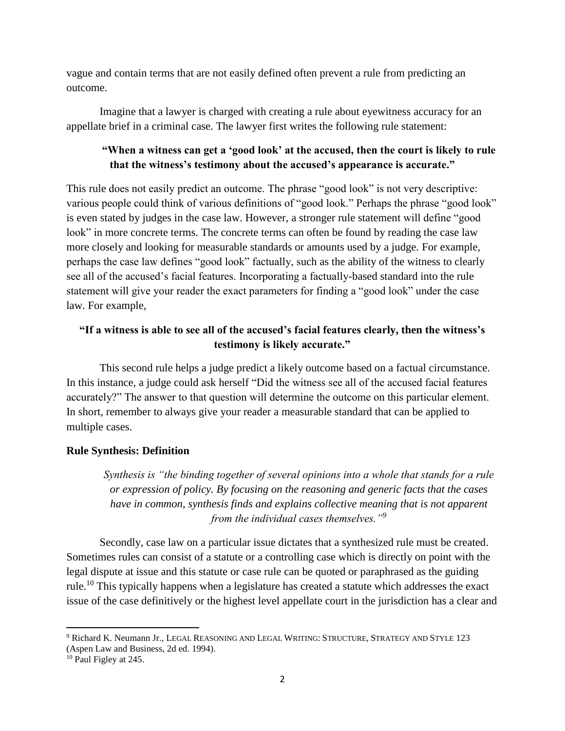vague and contain terms that are not easily defined often prevent a rule from predicting an outcome.

Imagine that a lawyer is charged with creating a rule about eyewitness accuracy for an appellate brief in a criminal case. The lawyer first writes the following rule statement:

# **"When a witness can get a 'good look' at the accused, then the court is likely to rule that the witness's testimony about the accused's appearance is accurate."**

This rule does not easily predict an outcome. The phrase "good look" is not very descriptive: various people could think of various definitions of "good look." Perhaps the phrase "good look" is even stated by judges in the case law. However, a stronger rule statement will define "good look" in more concrete terms. The concrete terms can often be found by reading the case law more closely and looking for measurable standards or amounts used by a judge. For example, perhaps the case law defines "good look" factually, such as the ability of the witness to clearly see all of the accused's facial features. Incorporating a factually-based standard into the rule statement will give your reader the exact parameters for finding a "good look" under the case law. For example,

## **"If a witness is able to see all of the accused's facial features clearly, then the witness's testimony is likely accurate."**

This second rule helps a judge predict a likely outcome based on a factual circumstance. In this instance, a judge could ask herself "Did the witness see all of the accused facial features accurately?" The answer to that question will determine the outcome on this particular element. In short, remember to always give your reader a measurable standard that can be applied to multiple cases.

## **Rule Synthesis: Definition**

*Synthesis is "the binding together of several opinions into a whole that stands for a rule or expression of policy. By focusing on the reasoning and generic facts that the cases have in common, synthesis finds and explains collective meaning that is not apparent from the individual cases themselves."<sup>9</sup>*

Secondly, case law on a particular issue dictates that a synthesized rule must be created. Sometimes rules can consist of a statute or a controlling case which is directly on point with the legal dispute at issue and this statute or case rule can be quoted or paraphrased as the guiding rule.<sup>10</sup> This typically happens when a legislature has created a statute which addresses the exact issue of the case definitively or the highest level appellate court in the jurisdiction has a clear and

 $\overline{\phantom{a}}$ <sup>9</sup> Richard K. Neumann Jr., LEGAL REASONING AND LEGAL WRITING: STRUCTURE, STRATEGY AND STYLE 123 (Aspen Law and Business, 2d ed. 1994).

<sup>&</sup>lt;sup>10</sup> Paul Figley at 245.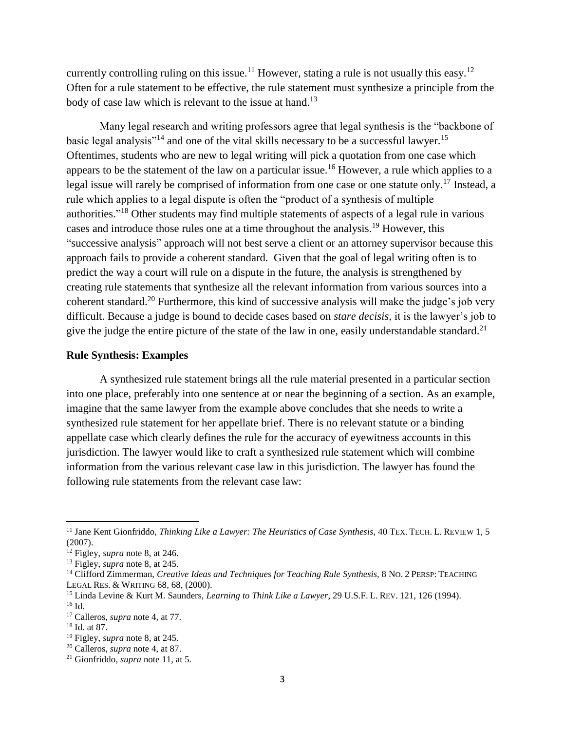currently controlling ruling on this issue.<sup>11</sup> However, stating a rule is not usually this easy.<sup>12</sup> Often for a rule statement to be effective, the rule statement must synthesize a principle from the body of case law which is relevant to the issue at hand.<sup>13</sup>

Many legal research and writing professors agree that legal synthesis is the "backbone of basic legal analysis"<sup>14</sup> and one of the vital skills necessary to be a successful lawyer.<sup>15</sup> Oftentimes, students who are new to legal writing will pick a quotation from one case which appears to be the statement of the law on a particular issue.<sup>16</sup> However, a rule which applies to a legal issue will rarely be comprised of information from one case or one statute only.<sup>17</sup> Instead, a rule which applies to a legal dispute is often the "product of a synthesis of multiple authorities."<sup>18</sup> Other students may find multiple statements of aspects of a legal rule in various cases and introduce those rules one at a time throughout the analysis.<sup>19</sup> However, this "successive analysis" approach will not best serve a client or an attorney supervisor because this approach fails to provide a coherent standard. Given that the goal of legal writing often is to predict the way a court will rule on a dispute in the future, the analysis is strengthened by creating rule statements that synthesize all the relevant information from various sources into a coherent standard.<sup>20</sup> Furthermore, this kind of successive analysis will make the judge's job very difficult. Because a judge is bound to decide cases based on *stare decisis*, it is the lawyer's job to give the judge the entire picture of the state of the law in one, easily understandable standard.<sup>21</sup>

#### **Rule Synthesis: Examples**

A synthesized rule statement brings all the rule material presented in a particular section into one place, preferably into one sentence at or near the beginning of a section. As an example, imagine that the same lawyer from the example above concludes that she needs to write a synthesized rule statement for her appellate brief. There is no relevant statute or a binding appellate case which clearly defines the rule for the accuracy of eyewitness accounts in this jurisdiction. The lawyer would like to craft a synthesized rule statement which will combine information from the various relevant case law in this jurisdiction. The lawyer has found the following rule statements from the relevant case law:

 $\overline{\phantom{a}}$ 

<sup>&</sup>lt;sup>11</sup> Jane Kent Gionfriddo, *Thinking Like a Lawyer: The Heuristics of Case Synthesis*, 40 TEX. TECH. L. REVIEW 1, 5 (2007).

<sup>12</sup> Figley, *supra* note 8, at 246.

<sup>13</sup> Figley, *supra* note 8, at 245.

<sup>&</sup>lt;sup>14</sup> Clifford Zimmerman, *Creative Ideas and Techniques for Teaching Rule Synthesis*, 8 No. 2 PERSP: TEACHING LEGAL RES. & WRITING 68, 68, (2000).

<sup>15</sup> Linda Levine & Kurt M. Saunders, *Learning to Think Like a Lawyer*, 29 U.S.F. L. REV. 121, 126 (1994). <sup>16</sup> Id.

<sup>17</sup> Calleros, *supra* note 4, at 77.

<sup>18</sup> Id. at 87.

<sup>19</sup> Figley, *supra* note 8, at 245.

<sup>20</sup> Calleros, *supra* note 4, at 87.

<sup>21</sup> Gionfriddo, *supra* note 11, at 5.